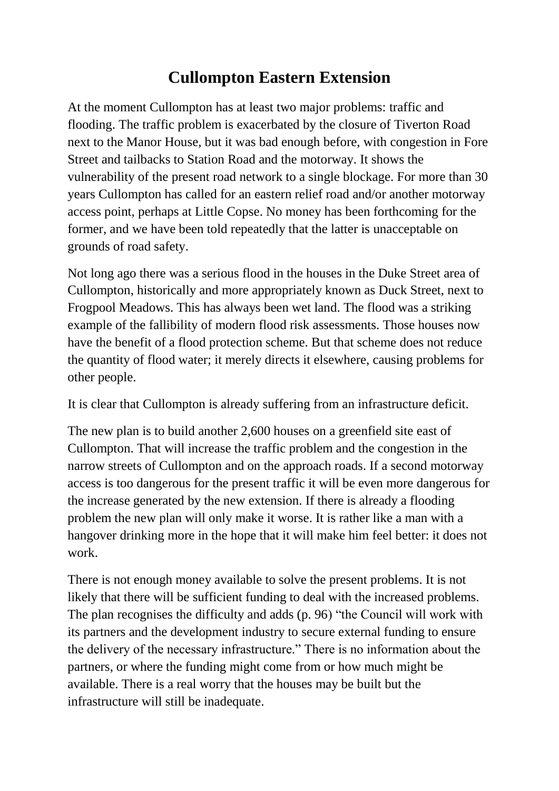## **Cullompton Eastern Extension**

At the moment Cullompton has at least two major problems: traffic and flooding. The traffic problem is exacerbated by the closure of Tiverton Road next to the Manor House, but it was bad enough before, with congestion in Fore Street and tailbacks to Station Road and the motorway. It shows the vulnerability of the present road network to a single blockage. For more than 30 years Cullompton has called for an eastern relief road and/or another motorway access point, perhaps at Little Copse. No money has been forthcoming for the former, and we have been told repeatedly that the latter is unacceptable on grounds of road safety.

Not long ago there was a serious flood in the houses in the Duke Street area of Cullompton, historically and more appropriately known as Duck Street, next to Frogpool Meadows. This has always been wet land. The flood was a striking example of the fallibility of modern flood risk assessments. Those houses now have the benefit of a flood protection scheme. But that scheme does not reduce the quantity of flood water; it merely directs it elsewhere, causing problems for other people.

It is clear that Cullompton is already suffering from an infrastructure deficit.

The new plan is to build another 2,600 houses on a greenfield site east of Cullompton. That will increase the traffic problem and the congestion in the narrow streets of Cullompton and on the approach roads. If a second motorway access is too dangerous for the present traffic it will be even more dangerous for the increase generated by the new extension. If there is already a flooding problem the new plan will only make it worse. It is rather like a man with a hangover drinking more in the hope that it will make him feel better: it does not work.

There is not enough money available to solve the present problems. It is not likely that there will be sufficient funding to deal with the increased problems. The plan recognises the difficulty and adds (p. 96) "the Council will work with its partners and the development industry to secure external funding to ensure the delivery of the necessary infrastructure." There is no information about the partners, or where the funding might come from or how much might be available. There is a real worry that the houses may be built but the infrastructure will still be inadequate.